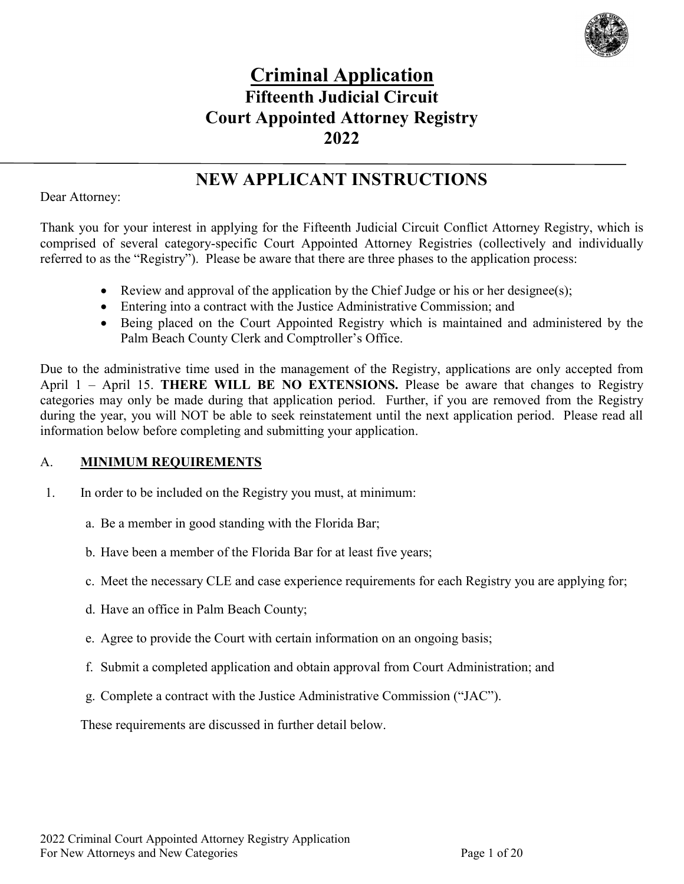

# **Criminal Application Fifteenth Judicial Circuit Court Appointed Attorney Registry 2022**

# **NEW APPLICANT INSTRUCTIONS**

#### Dear Attorney:

Thank you for your interest in applying for the Fifteenth Judicial Circuit Conflict Attorney Registry, which is comprised of several category-specific Court Appointed Attorney Registries (collectively and individually referred to as the "Registry"). Please be aware that there are three phases to the application process:

- Review and approval of the application by the Chief Judge or his or her designee(s);
- Entering into a contract with the Justice Administrative Commission; and
- Being placed on the Court Appointed Registry which is maintained and administered by the Palm Beach County Clerk and Comptroller's Office.

Due to the administrative time used in the management of the Registry, applications are only accepted from April 1 – April 15. **THERE WILL BE NO EXTENSIONS.** Please be aware that changes to Registry categories may only be made during that application period. Further, if you are removed from the Registry during the year, you will NOT be able to seek reinstatement until the next application period. Please read all information below before completing and submitting your application.

#### A. **MINIMUM REQUIREMENTS**

- 1. In order to be included on the Registry you must, at minimum:
	- a. Be a member in good standing with the Florida Bar;
	- b. Have been a member of the Florida Bar for at least five years;
	- c. Meet the necessary CLE and case experience requirements for each Registry you are applying for;
	- d. Have an office in Palm Beach County;
	- e. Agree to provide the Court with certain information on an ongoing basis;
	- f. Submit a completed application and obtain approval from Court Administration; and
	- g. Complete a contract with the Justice Administrative Commission ("JAC").

These requirements are discussed in further detail below.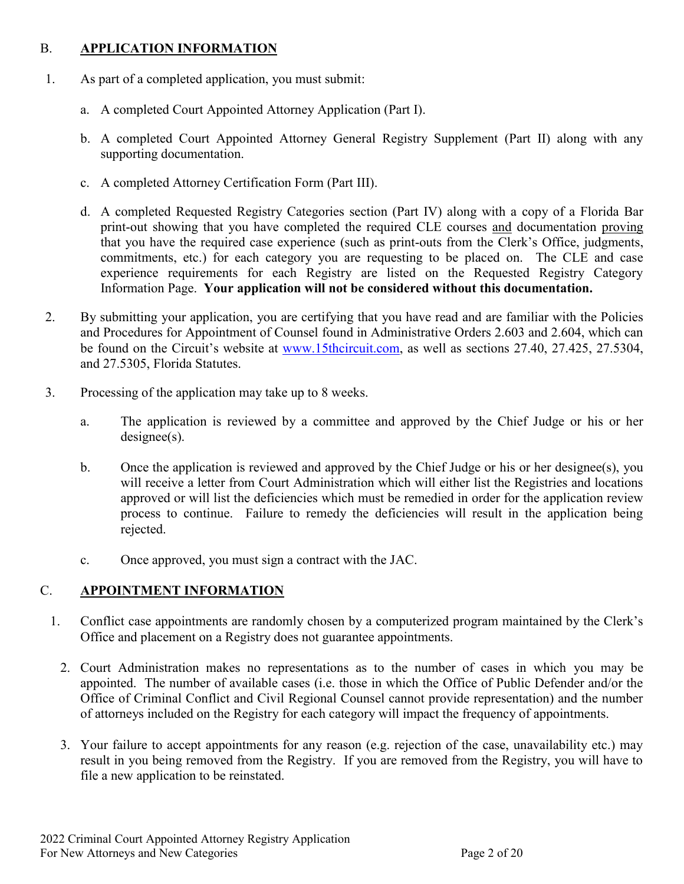#### B. **APPLICATION INFORMATION**

- 1. As part of a completed application, you must submit:
	- a. A completed Court Appointed Attorney Application (Part I).
	- b. A completed Court Appointed Attorney General Registry Supplement (Part II) along with any supporting documentation.
	- c. A completed Attorney Certification Form (Part III).
	- d. A completed Requested Registry Categories section (Part IV) along with a copy of a Florida Bar print-out showing that you have completed the required CLE courses and documentation proving that you have the required case experience (such as print-outs from the Clerk's Office, judgments, commitments, etc.) for each category you are requesting to be placed on. The CLE and case experience requirements for each Registry are listed on the Requested Registry Category Information Page. **Your application will not be considered without this documentation.**
- 2. By submitting your application, you are certifying that you have read and are familiar with the Policies and Procedures for Appointment of Counsel found in Administrative Orders 2.603 and 2.604, which can be found on the Circuit's website at [www.15thcircuit.com,](http://www.15thcircuit.com/) as well as sections 27.40, 27.425, 27.5304, and 27.5305, Florida Statutes.
- 3. Processing of the application may take up to 8 weeks.
	- a. The application is reviewed by a committee and approved by the Chief Judge or his or her designee(s).
	- b. Once the application is reviewed and approved by the Chief Judge or his or her designee(s), you will receive a letter from Court Administration which will either list the Registries and locations approved or will list the deficiencies which must be remedied in order for the application review process to continue. Failure to remedy the deficiencies will result in the application being rejected.
	- c. Once approved, you must sign a contract with the JAC.

#### C. **APPOINTMENT INFORMATION**

- 1. Conflict case appointments are randomly chosen by a computerized program maintained by the Clerk's Office and placement on a Registry does not guarantee appointments.
	- 2. Court Administration makes no representations as to the number of cases in which you may be appointed. The number of available cases (i.e. those in which the Office of Public Defender and/or the Office of Criminal Conflict and Civil Regional Counsel cannot provide representation) and the number of attorneys included on the Registry for each category will impact the frequency of appointments.
	- 3. Your failure to accept appointments for any reason (e.g. rejection of the case, unavailability etc.) may result in you being removed from the Registry. If you are removed from the Registry, you will have to file a new application to be reinstated.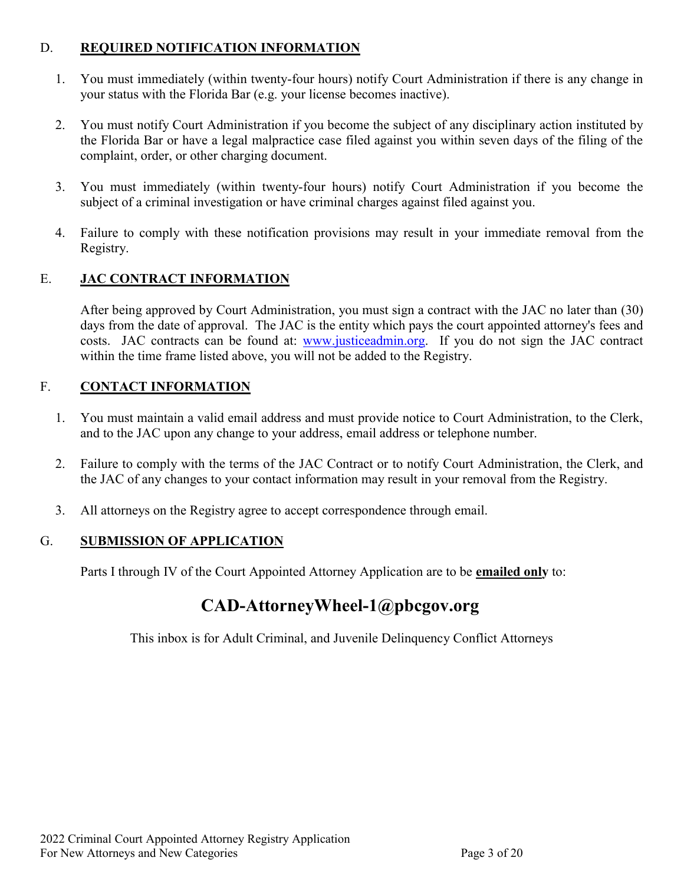#### D. **REQUIRED NOTIFICATION INFORMATION**

- 1. You must immediately (within twenty-four hours) notify Court Administration if there is any change in your status with the Florida Bar (e.g. your license becomes inactive).
- 2. You must notify Court Administration if you become the subject of any disciplinary action instituted by the Florida Bar or have a legal malpractice case filed against you within seven days of the filing of the complaint, order, or other charging document.
- 3. You must immediately (within twenty-four hours) notify Court Administration if you become the subject of a criminal investigation or have criminal charges against filed against you.
- 4. Failure to comply with these notification provisions may result in your immediate removal from the Registry.

#### E. **JAC CONTRACT INFORMATION**

After being approved by Court Administration, you must sign a contract with the JAC no later than (30) days from the date of approval. The JAC is the entity which pays the court appointed attorney's fees and costs. JAC contracts can be found at: [www.justiceadmin.org.](http://www.justiceadmin.org/) If you do not sign the JAC contract within the time frame listed above, you will not be added to the Registry.

#### F. **CONTACT INFORMATION**

- 1. You must maintain a valid email address and must provide notice to Court Administration, to the Clerk, and to the JAC upon any change to your address, email address or telephone number.
- 2. Failure to comply with the terms of the JAC Contract or to notify Court Administration, the Clerk, and the JAC of any changes to your contact information may result in your removal from the Registry.
- 3. All attorneys on the Registry agree to accept correspondence through email.

#### G. **SUBMISSION OF APPLICATION**

Parts I through IV of the Court Appointed Attorney Application are to be **emailed only** to:

# **[CAD-AttorneyWheel-1@pbcgov.org](mailto:CAD-AttorneyWheel-1@pbcgov.org)**

This inbox is for Adult Criminal, and Juvenile Delinquency Conflict Attorneys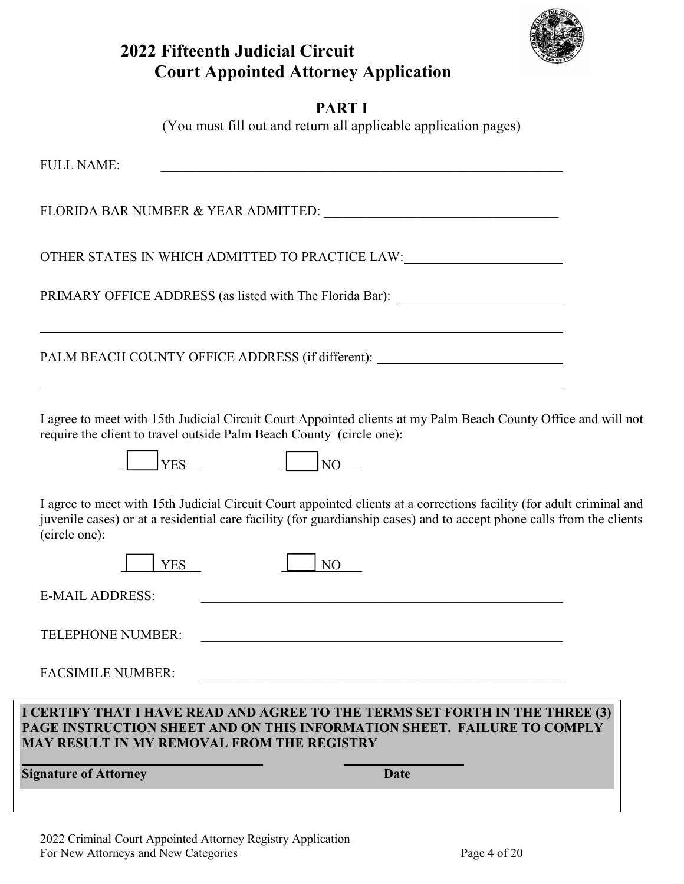

## **2022 Fifteenth Judicial Circuit Court Appointed Attorney Application**

## **PART I**

(You must fill out and return all applicable application pages)

| <b>Signature of Attorney</b>                                         | Date                                                                                                                                                                                                                                          |
|----------------------------------------------------------------------|-----------------------------------------------------------------------------------------------------------------------------------------------------------------------------------------------------------------------------------------------|
| <b>MAY RESULT IN MY REMOVAL FROM THE REGISTRY</b>                    | I CERTIFY THAT I HAVE READ AND AGREE TO THE TERMS SET FORTH IN THE THREE (3)<br>PAGE INSTRUCTION SHEET AND ON THIS INFORMATION SHEET. FAILURE TO COMPLY                                                                                       |
| <b>FACSIMILE NUMBER:</b>                                             |                                                                                                                                                                                                                                               |
| <b>TELEPHONE NUMBER:</b>                                             |                                                                                                                                                                                                                                               |
| <b>E-MAIL ADDRESS:</b>                                               |                                                                                                                                                                                                                                               |
| <b>YES</b>                                                           | NO.                                                                                                                                                                                                                                           |
| (circle one):                                                        | I agree to meet with 15th Judicial Circuit Court appointed clients at a corrections facility (for adult criminal and<br>juvenile cases) or at a residential care facility (for guardianship cases) and to accept phone calls from the clients |
| <b>YES</b>                                                           | NO <sub>1</sub>                                                                                                                                                                                                                               |
| require the client to travel outside Palm Beach County (circle one): | I agree to meet with 15th Judicial Circuit Court Appointed clients at my Palm Beach County Office and will not                                                                                                                                |
|                                                                      | PALM BEACH COUNTY OFFICE ADDRESS (if different): _______________________________                                                                                                                                                              |
|                                                                      | PRIMARY OFFICE ADDRESS (as listed with The Florida Bar): _______________________                                                                                                                                                              |
|                                                                      | OTHER STATES IN WHICH ADMITTED TO PRACTICE LAW:                                                                                                                                                                                               |
|                                                                      |                                                                                                                                                                                                                                               |
| <b>FULL NAME:</b>                                                    |                                                                                                                                                                                                                                               |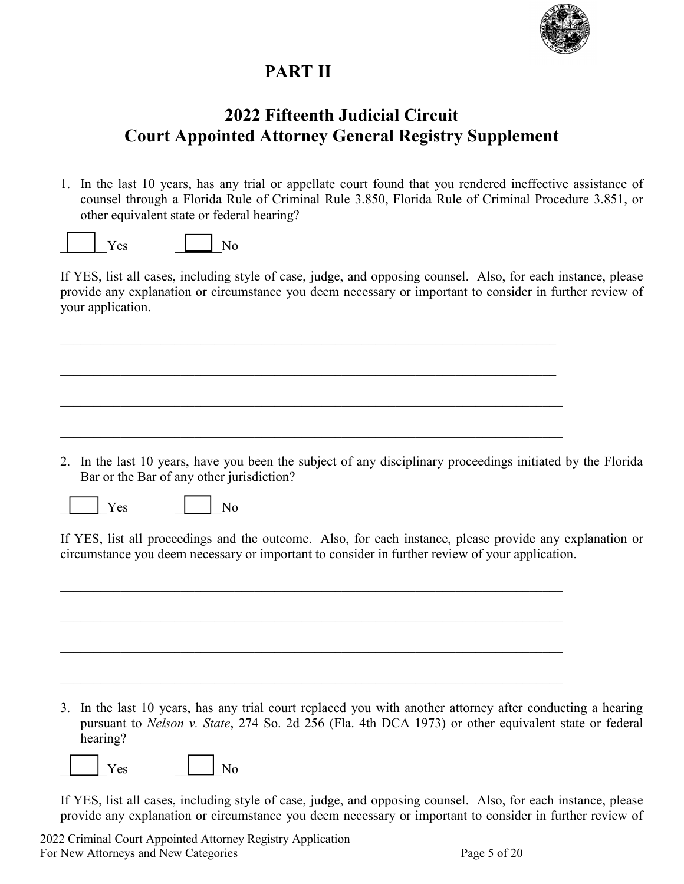

## **PART II**

## **2022 Fifteenth Judicial Circuit Court Appointed Attorney General Registry Supplement**

1. In the last 10 years, has any trial or appellate court found that you rendered ineffective assistance of counsel through a Florida Rule of Criminal Rule 3.850, Florida Rule of Criminal Procedure 3.851, or other equivalent state or federal hearing?

|--|--|--|

If YES, list all cases, including style of case, judge, and opposing counsel. Also, for each instance, please provide any explanation or circumstance you deem necessary or important to consider in further review of your application.

2. In the last 10 years, have you been the subject of any disciplinary proceedings initiated by the Florida Bar or the Bar of any other jurisdiction?

 $Yes$   $|$   $|$   $No$ 

If YES, list all proceedings and the outcome. Also, for each instance, please provide any explanation or circumstance you deem necessary or important to consider in further review of your application.

 $\mathcal{L}_\mathcal{L} = \mathcal{L}_\mathcal{L} = \mathcal{L}_\mathcal{L} = \mathcal{L}_\mathcal{L} = \mathcal{L}_\mathcal{L} = \mathcal{L}_\mathcal{L} = \mathcal{L}_\mathcal{L} = \mathcal{L}_\mathcal{L} = \mathcal{L}_\mathcal{L} = \mathcal{L}_\mathcal{L} = \mathcal{L}_\mathcal{L} = \mathcal{L}_\mathcal{L} = \mathcal{L}_\mathcal{L} = \mathcal{L}_\mathcal{L} = \mathcal{L}_\mathcal{L} = \mathcal{L}_\mathcal{L} = \mathcal{L}_\mathcal{L}$ 

3. In the last 10 years, has any trial court replaced you with another attorney after conducting a hearing pursuant to *Nelson v. State*, 274 So. 2d 256 (Fla. 4th DCA 1973) or other equivalent state or federal hearing?

|--|--|

If YES, list all cases, including style of case, judge, and opposing counsel. Also, for each instance, please provide any explanation or circumstance you deem necessary or important to consider in further review of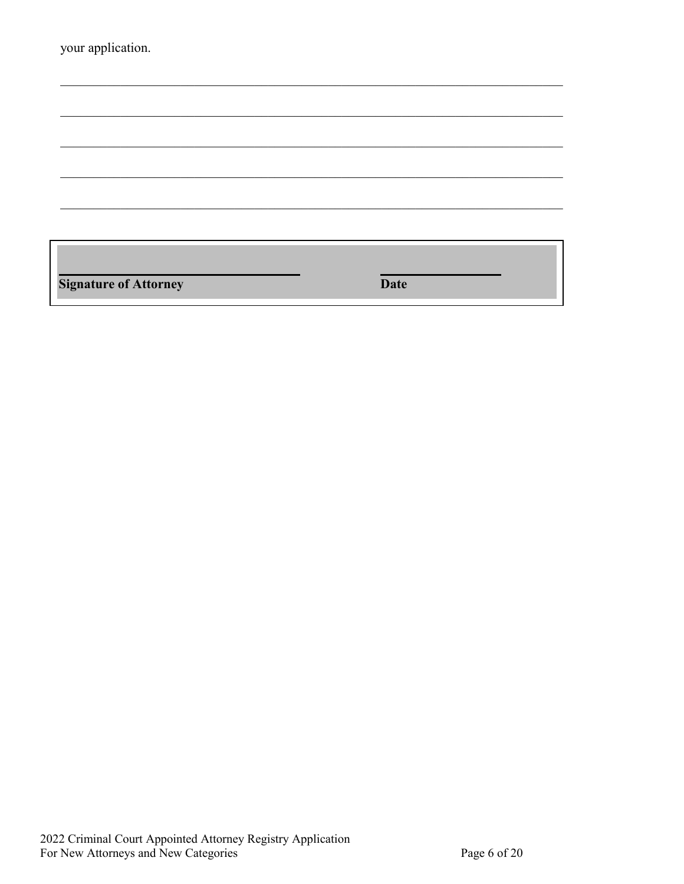| your application.            |             |  |
|------------------------------|-------------|--|
|                              |             |  |
|                              |             |  |
|                              |             |  |
|                              |             |  |
|                              |             |  |
|                              |             |  |
|                              |             |  |
| <b>Signature of Attorney</b> | <b>Date</b> |  |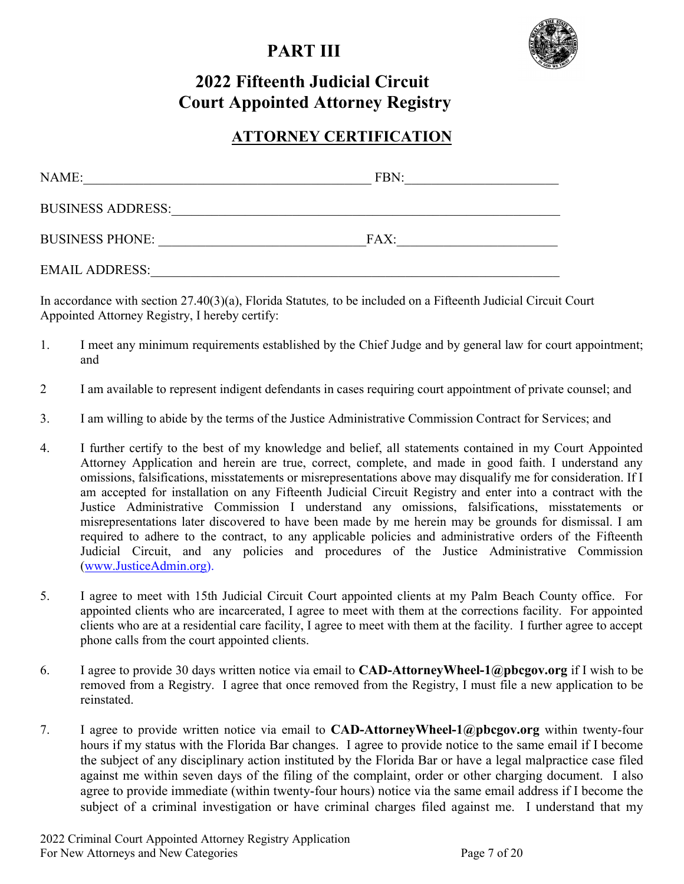## **PART III**



# **2022 Fifteenth Judicial Circuit Court Appointed Attorney Registry**

## **ATTORNEY CERTIFICATION**

| NAME:                    | FBN: |  |
|--------------------------|------|--|
| <b>BUSINESS ADDRESS:</b> |      |  |
| <b>BUSINESS PHONE:</b>   | FAX: |  |
| <b>EMAIL ADDRESS:</b>    |      |  |

In accordance with section 27.40(3)(a), Florida Statutes*,* to be included on a Fifteenth Judicial Circuit Court Appointed Attorney Registry, I hereby certify:

- 1. I meet any minimum requirements established by the Chief Judge and by general law for court appointment; and
- 2 I am available to represent indigent defendants in cases requiring court appointment of private counsel; and
- 3. I am willing to abide by the terms of the Justice Administrative Commission Contract for Services; and
- 4. I further certify to the best of my knowledge and belief, all statements contained in my Court Appointed Attorney Application and herein are true, correct, complete, and made in good faith. I understand any omissions, falsifications, misstatements or misrepresentations above may disqualify me for consideration. If I am accepted for installation on any Fifteenth Judicial Circuit Registry and enter into a contract with the Justice Administrative Commission I understand any omissions, falsifications, misstatements or misrepresentations later discovered to have been made by me herein may be grounds for dismissal. I am required to adhere to the contract, to any applicable policies and administrative orders of the Fifteenth Judicial Circuit, and any policies and procedures of the Justice Administrative Commission [\(www.JusticeAdmin.org\)](http://www.justiceadmin.org/).
- 5. I agree to meet with 15th Judicial Circuit Court appointed clients at my Palm Beach County office. For appointed clients who are incarcerated, I agree to meet with them at the corrections facility. For appointed clients who are at a residential care facility, I agree to meet with them at the facility. I further agree to accept phone calls from the court appointed clients.
- 6. I agree to provide 30 days written notice via email to **CAD-AttorneyWheel-1@pbcgov.org** if I wish to be removed from a Registry. I agree that once removed from the Registry, I must file a new application to be reinstated.
- 7. I agree to provide written notice via email to **CAD-AttorneyWheel-1@pbcgov.org** within twenty-four hours if my status with the Florida Bar changes. I agree to provide notice to the same email if I become the subject of any disciplinary action instituted by the Florida Bar or have a legal malpractice case filed against me within seven days of the filing of the complaint, order or other charging document. I also agree to provide immediate (within twenty-four hours) notice via the same email address if I become the subject of a criminal investigation or have criminal charges filed against me. I understand that my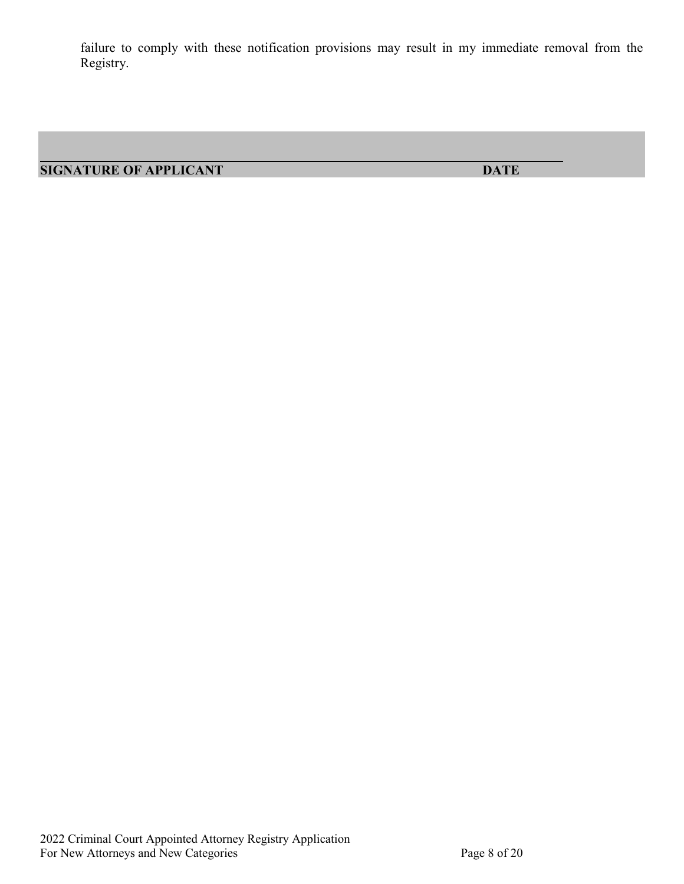failure to comply with these notification provisions may result in my immediate removal from the Registry.

**SIGNATURE OF APPLICANT DATE**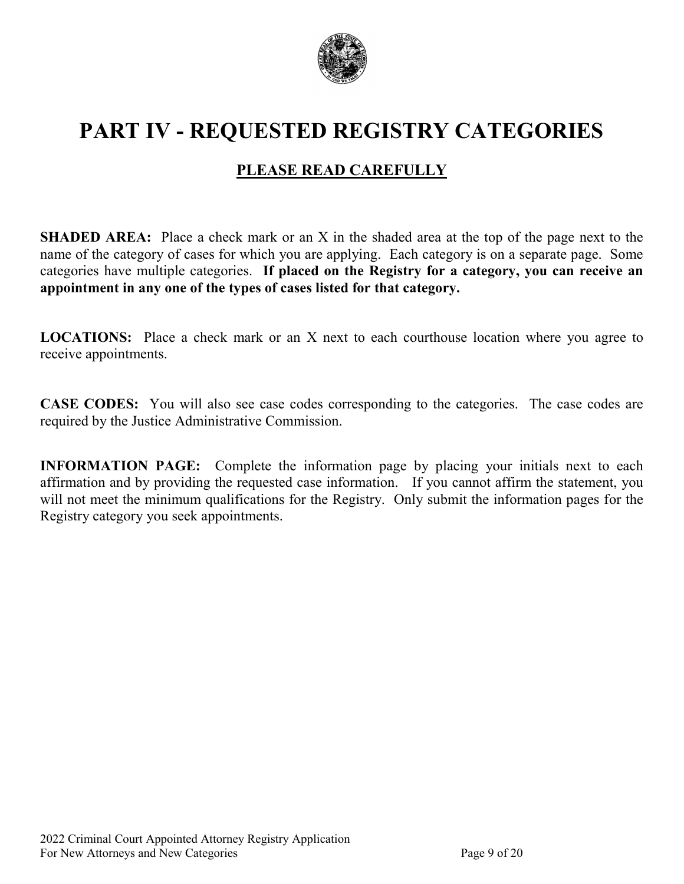

# **PART IV - REQUESTED REGISTRY CATEGORIES**

## **PLEASE READ CAREFULLY**

**SHADED AREA:** Place a check mark or an X in the shaded area at the top of the page next to the name of the category of cases for which you are applying. Each category is on a separate page. Some categories have multiple categories. **If placed on the Registry for a category, you can receive an appointment in any one of the types of cases listed for that category.**

**LOCATIONS:** Place a check mark or an X next to each courthouse location where you agree to receive appointments.

**CASE CODES:** You will also see case codes corresponding to the categories. The case codes are required by the Justice Administrative Commission.

**INFORMATION PAGE:** Complete the information page by placing your initials next to each affirmation and by providing the requested case information. If you cannot affirm the statement, you will not meet the minimum qualifications for the Registry. Only submit the information pages for the Registry category you seek appointments.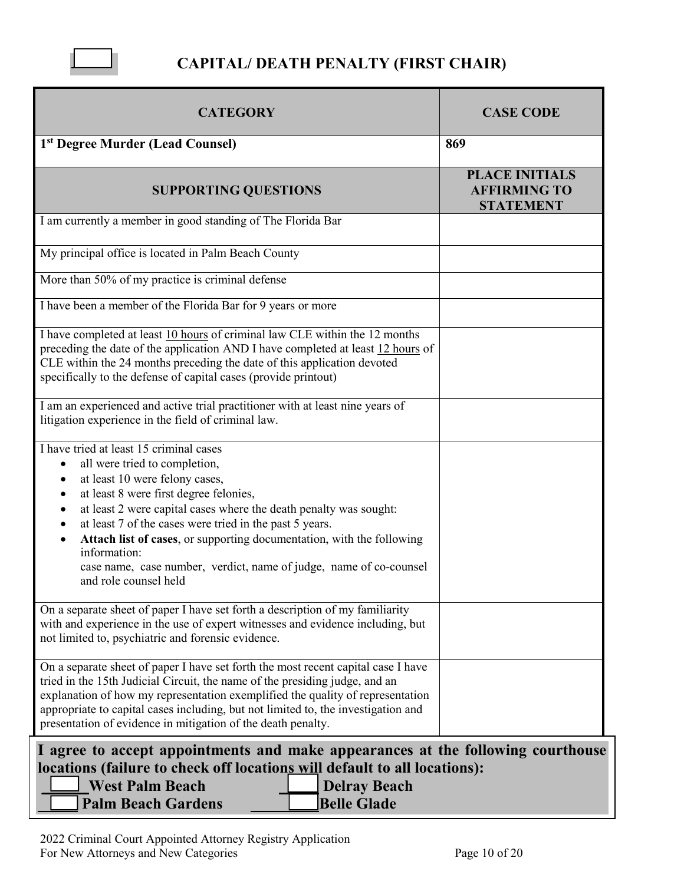

## **CAPITAL/ DEATH PENALTY (FIRST CHAIR)**

| <b>CATEGORY</b>                                                                                                                                                                                                                                                                                                                                                                                                                                                                                        | <b>CASE CODE</b>                                                 |  |
|--------------------------------------------------------------------------------------------------------------------------------------------------------------------------------------------------------------------------------------------------------------------------------------------------------------------------------------------------------------------------------------------------------------------------------------------------------------------------------------------------------|------------------------------------------------------------------|--|
| 1 <sup>st</sup> Degree Murder (Lead Counsel)                                                                                                                                                                                                                                                                                                                                                                                                                                                           | 869                                                              |  |
| <b>SUPPORTING QUESTIONS</b>                                                                                                                                                                                                                                                                                                                                                                                                                                                                            | <b>PLACE INITIALS</b><br><b>AFFIRMING TO</b><br><b>STATEMENT</b> |  |
| I am currently a member in good standing of The Florida Bar                                                                                                                                                                                                                                                                                                                                                                                                                                            |                                                                  |  |
| My principal office is located in Palm Beach County                                                                                                                                                                                                                                                                                                                                                                                                                                                    |                                                                  |  |
| More than 50% of my practice is criminal defense                                                                                                                                                                                                                                                                                                                                                                                                                                                       |                                                                  |  |
| I have been a member of the Florida Bar for 9 years or more                                                                                                                                                                                                                                                                                                                                                                                                                                            |                                                                  |  |
| I have completed at least 10 hours of criminal law CLE within the 12 months<br>preceding the date of the application AND I have completed at least 12 hours of<br>CLE within the 24 months preceding the date of this application devoted<br>specifically to the defense of capital cases (provide printout)<br>I am an experienced and active trial practitioner with at least nine years of<br>litigation experience in the field of criminal law.                                                   |                                                                  |  |
| I have tried at least 15 criminal cases<br>all were tried to completion,<br>$\bullet$<br>at least 10 were felony cases,<br>$\bullet$<br>at least 8 were first degree felonies,<br>at least 2 were capital cases where the death penalty was sought:<br>at least 7 of the cases were tried in the past 5 years.<br>Attach list of cases, or supporting documentation, with the following<br>information:<br>case name, case number, verdict, name of judge, name of co-counsel<br>and role counsel held |                                                                  |  |
| On a separate sheet of paper I have set forth a description of my familiarity<br>with and experience in the use of expert witnesses and evidence including, but<br>not limited to, psychiatric and forensic evidence.                                                                                                                                                                                                                                                                                  |                                                                  |  |
| On a separate sheet of paper I have set forth the most recent capital case I have<br>tried in the 15th Judicial Circuit, the name of the presiding judge, and an<br>explanation of how my representation exemplified the quality of representation<br>appropriate to capital cases including, but not limited to, the investigation and<br>presentation of evidence in mitigation of the death penalty.                                                                                                |                                                                  |  |
| I agree to accept appointments and make appearances at the following courthouse<br>locations (failure to check off locations will default to all locations):<br><b>West Palm Beach</b><br><b>Delray Beach</b><br><b>Belle Glade</b><br><b>Palm Beach Gardens</b>                                                                                                                                                                                                                                       |                                                                  |  |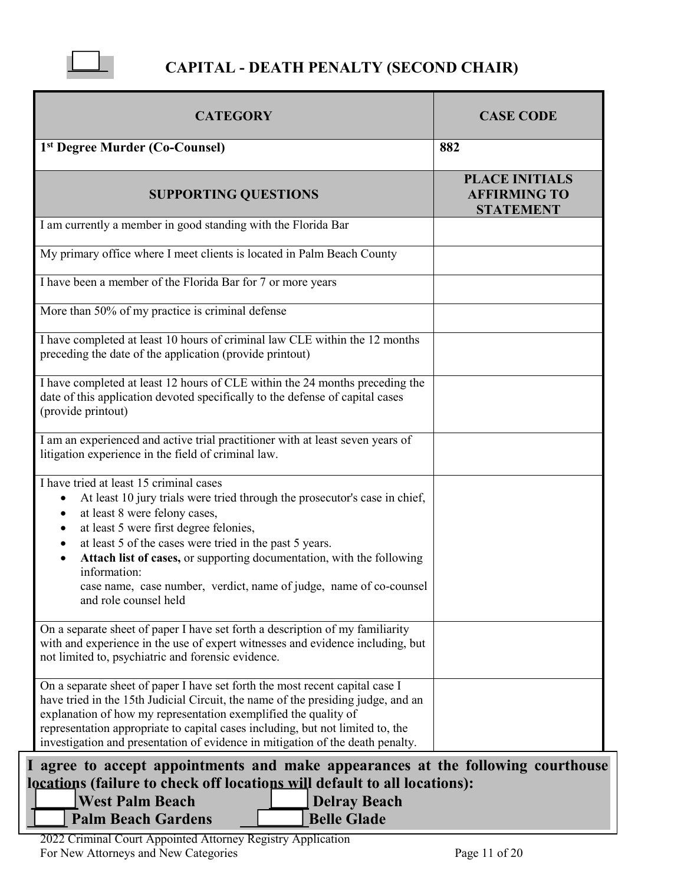

## **CAPITAL - DEATH PENALTY (SECOND CHAIR)**

| 882                                                                           |
|-------------------------------------------------------------------------------|
|                                                                               |
| <b>PLACE INITIALS</b><br><b>AFFIRMING TO</b><br><b>STATEMENT</b>              |
|                                                                               |
|                                                                               |
|                                                                               |
|                                                                               |
|                                                                               |
|                                                                               |
|                                                                               |
|                                                                               |
|                                                                               |
| agree to accept appointments and make appearances at the following courthouse |
|                                                                               |

**locations (failure to check off locations will default to all locations):**

**West Palm Beach Delray Beach Palm Beach Gardens Belle Glade**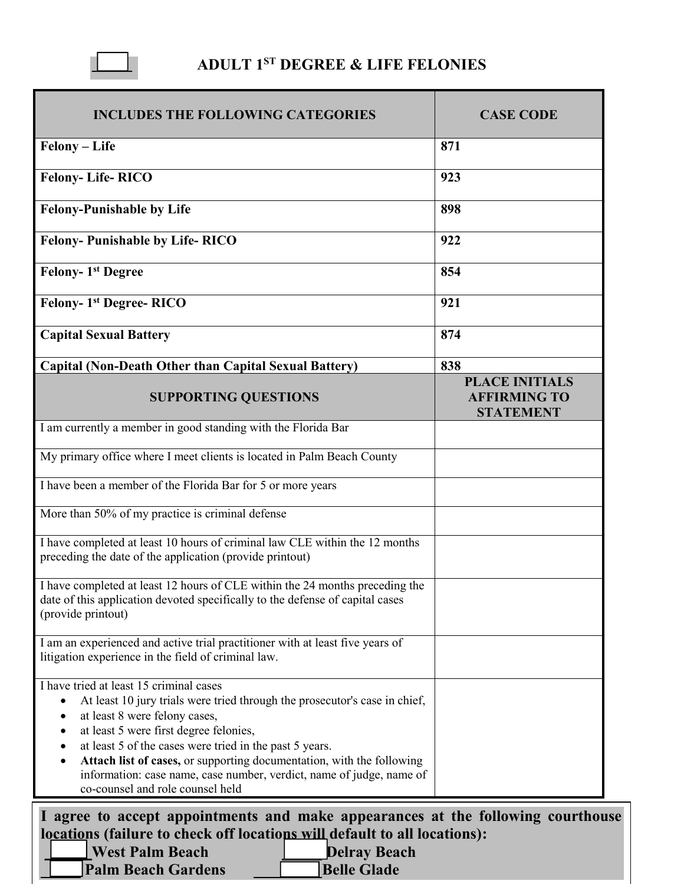

# **ADULT 1ST DEGREE & LIFE FELONIES**

| <b>INCLUDES THE FOLLOWING CATEGORIES</b>                                                                                                                                                                                                                                                                                                                                                                                                              | <b>CASE CODE</b>                                                 |
|-------------------------------------------------------------------------------------------------------------------------------------------------------------------------------------------------------------------------------------------------------------------------------------------------------------------------------------------------------------------------------------------------------------------------------------------------------|------------------------------------------------------------------|
| Felony - Life                                                                                                                                                                                                                                                                                                                                                                                                                                         | 871                                                              |
| <b>Felony-Life-RICO</b>                                                                                                                                                                                                                                                                                                                                                                                                                               | 923                                                              |
| <b>Felony-Punishable by Life</b>                                                                                                                                                                                                                                                                                                                                                                                                                      | 898                                                              |
| <b>Felony-Punishable by Life-RICO</b>                                                                                                                                                                                                                                                                                                                                                                                                                 | 922                                                              |
| <b>Felony-1st Degree</b>                                                                                                                                                                                                                                                                                                                                                                                                                              | 854                                                              |
| Felony- 1 <sup>st</sup> Degree-RICO                                                                                                                                                                                                                                                                                                                                                                                                                   | 921                                                              |
| <b>Capital Sexual Battery</b>                                                                                                                                                                                                                                                                                                                                                                                                                         | 874                                                              |
| <b>Capital (Non-Death Other than Capital Sexual Battery)</b>                                                                                                                                                                                                                                                                                                                                                                                          | 838                                                              |
| <b>SUPPORTING QUESTIONS</b>                                                                                                                                                                                                                                                                                                                                                                                                                           | <b>PLACE INITIALS</b><br><b>AFFIRMING TO</b><br><b>STATEMENT</b> |
| I am currently a member in good standing with the Florida Bar                                                                                                                                                                                                                                                                                                                                                                                         |                                                                  |
| My primary office where I meet clients is located in Palm Beach County                                                                                                                                                                                                                                                                                                                                                                                |                                                                  |
| I have been a member of the Florida Bar for 5 or more years                                                                                                                                                                                                                                                                                                                                                                                           |                                                                  |
| More than 50% of my practice is criminal defense                                                                                                                                                                                                                                                                                                                                                                                                      |                                                                  |
| I have completed at least 10 hours of criminal law CLE within the 12 months<br>preceding the date of the application (provide printout)                                                                                                                                                                                                                                                                                                               |                                                                  |
| I have completed at least 12 hours of CLE within the 24 months preceding the<br>date of this application devoted specifically to the defense of capital cases<br>(provide printout)                                                                                                                                                                                                                                                                   |                                                                  |
| I am an experienced and active trial practitioner with at least five years of<br>litigation experience in the field of criminal law.                                                                                                                                                                                                                                                                                                                  |                                                                  |
| I have tried at least 15 criminal cases<br>At least 10 jury trials were tried through the prosecutor's case in chief,<br>at least 8 were felony cases,<br>٠<br>at least 5 were first degree felonies,<br>at least 5 of the cases were tried in the past 5 years.<br>Attach list of cases, or supporting documentation, with the following<br>information: case name, case number, verdict, name of judge, name of<br>co-counsel and role counsel held |                                                                  |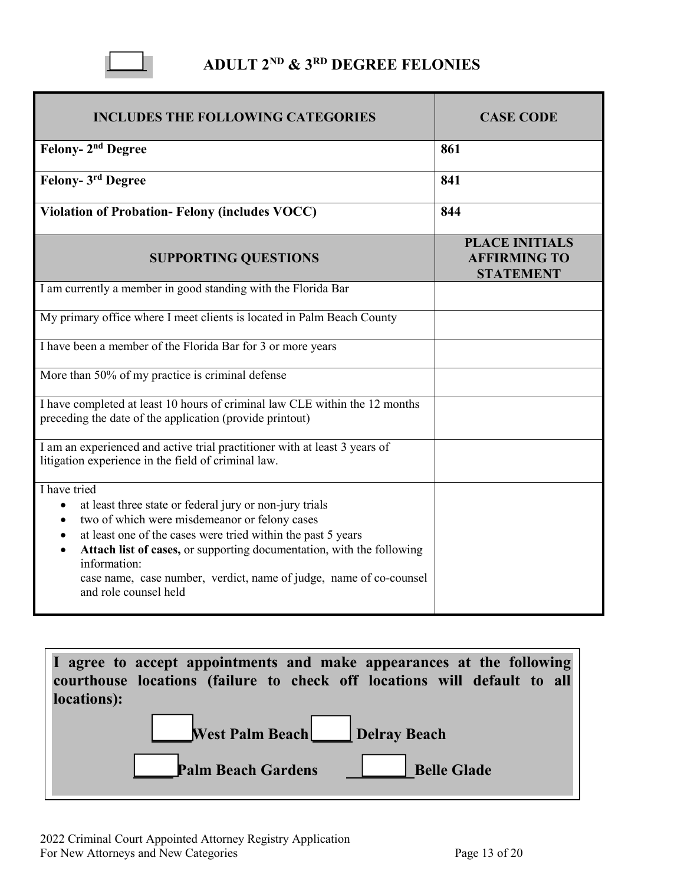

## **ADULT 2ND & 3RD DEGREE FELONIES**

| <b>INCLUDES THE FOLLOWING CATEGORIES</b>                                                                                                                                                                                                                                                                                                                                         | <b>CASE CODE</b>                                                 |  |
|----------------------------------------------------------------------------------------------------------------------------------------------------------------------------------------------------------------------------------------------------------------------------------------------------------------------------------------------------------------------------------|------------------------------------------------------------------|--|
| Felony- 2 <sup>nd</sup> Degree                                                                                                                                                                                                                                                                                                                                                   | 861                                                              |  |
| Felony- 3rd Degree                                                                                                                                                                                                                                                                                                                                                               | 841                                                              |  |
| <b>Violation of Probation-Felony (includes VOCC)</b>                                                                                                                                                                                                                                                                                                                             | 844                                                              |  |
| <b>SUPPORTING QUESTIONS</b>                                                                                                                                                                                                                                                                                                                                                      | <b>PLACE INITIALS</b><br><b>AFFIRMING TO</b><br><b>STATEMENT</b> |  |
| I am currently a member in good standing with the Florida Bar                                                                                                                                                                                                                                                                                                                    |                                                                  |  |
| My primary office where I meet clients is located in Palm Beach County                                                                                                                                                                                                                                                                                                           |                                                                  |  |
| I have been a member of the Florida Bar for 3 or more years                                                                                                                                                                                                                                                                                                                      |                                                                  |  |
| More than 50% of my practice is criminal defense                                                                                                                                                                                                                                                                                                                                 |                                                                  |  |
| I have completed at least 10 hours of criminal law CLE within the 12 months<br>preceding the date of the application (provide printout)                                                                                                                                                                                                                                          |                                                                  |  |
| I am an experienced and active trial practitioner with at least 3 years of<br>litigation experience in the field of criminal law.                                                                                                                                                                                                                                                |                                                                  |  |
| I have tried<br>at least three state or federal jury or non-jury trials<br>two of which were misdemeanor or felony cases<br>at least one of the cases were tried within the past 5 years<br>Attach list of cases, or supporting documentation, with the following<br>information:<br>case name, case number, verdict, name of judge, name of co-counsel<br>and role counsel held |                                                                  |  |

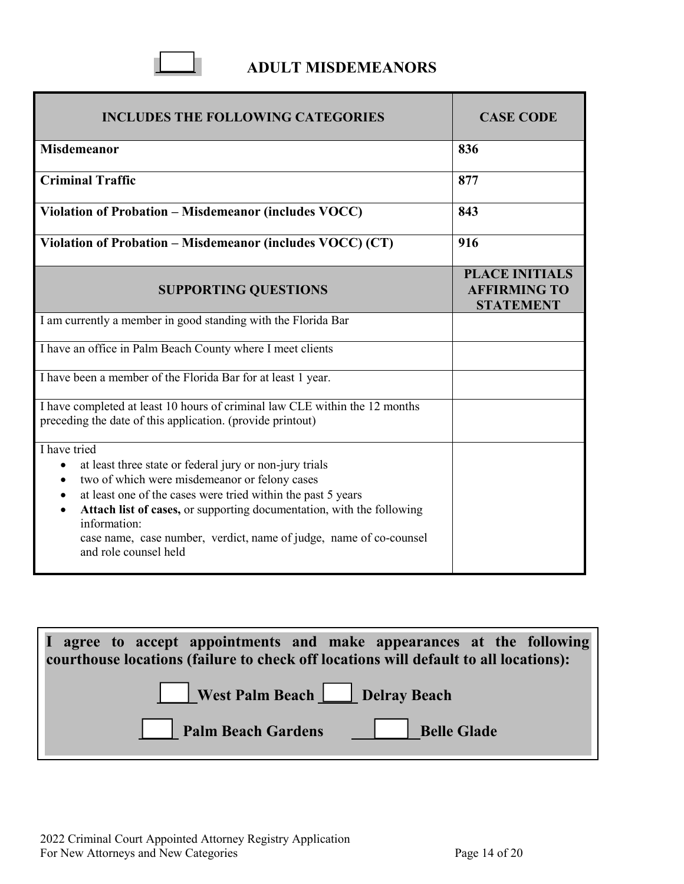### **ADULT MISDEMEANORS**

 $\Box$ 

| <b>INCLUDES THE FOLLOWING CATEGORIES</b>                                                                                                                                                                                                                                                                                                                                                      | <b>CASE CODE</b>                                                 |
|-----------------------------------------------------------------------------------------------------------------------------------------------------------------------------------------------------------------------------------------------------------------------------------------------------------------------------------------------------------------------------------------------|------------------------------------------------------------------|
| <b>Misdemeanor</b>                                                                                                                                                                                                                                                                                                                                                                            | 836                                                              |
| <b>Criminal Traffic</b>                                                                                                                                                                                                                                                                                                                                                                       | 877                                                              |
| Violation of Probation - Misdemeanor (includes VOCC)                                                                                                                                                                                                                                                                                                                                          | 843                                                              |
| Violation of Probation – Misdemeanor (includes VOCC) (CT)                                                                                                                                                                                                                                                                                                                                     | 916                                                              |
| <b>SUPPORTING QUESTIONS</b>                                                                                                                                                                                                                                                                                                                                                                   | <b>PLACE INITIALS</b><br><b>AFFIRMING TO</b><br><b>STATEMENT</b> |
| I am currently a member in good standing with the Florida Bar                                                                                                                                                                                                                                                                                                                                 |                                                                  |
| I have an office in Palm Beach County where I meet clients                                                                                                                                                                                                                                                                                                                                    |                                                                  |
| I have been a member of the Florida Bar for at least 1 year.                                                                                                                                                                                                                                                                                                                                  |                                                                  |
| I have completed at least 10 hours of criminal law CLE within the 12 months<br>preceding the date of this application. (provide printout)                                                                                                                                                                                                                                                     |                                                                  |
| I have tried<br>at least three state or federal jury or non-jury trials<br>two of which were misdemeanor or felony cases<br>$\bullet$<br>at least one of the cases were tried within the past 5 years<br>Attach list of cases, or supporting documentation, with the following<br>information:<br>case name, case number, verdict, name of judge, name of co-counsel<br>and role counsel held |                                                                  |

| I agree to accept appointments and make appearances at the following<br>courthouse locations (failure to check off locations will default to all locations): |
|--------------------------------------------------------------------------------------------------------------------------------------------------------------|
| West Palm Beach Delray Beach                                                                                                                                 |
| Palm Beach Gardens Belle Glade                                                                                                                               |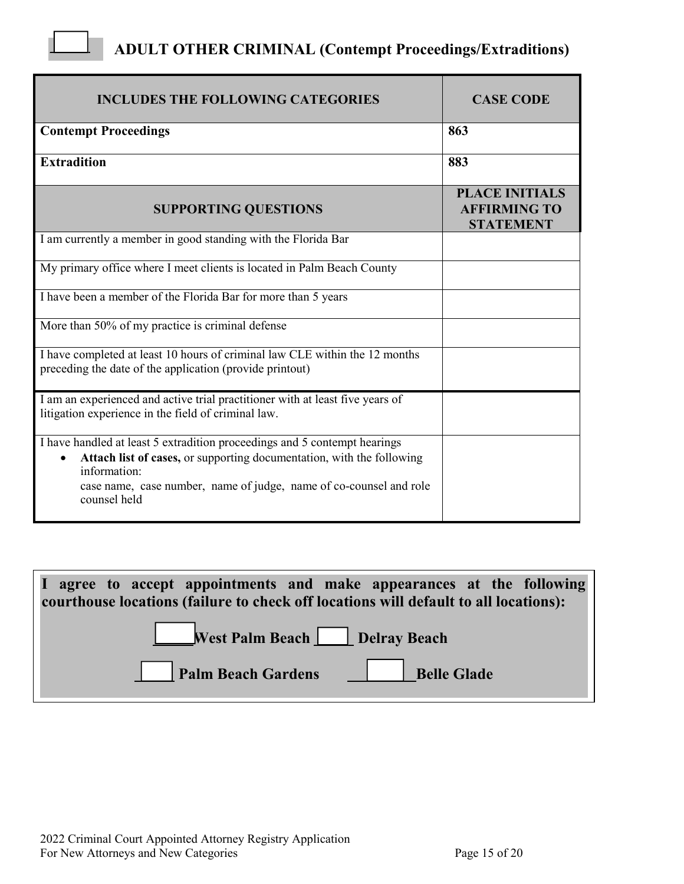# **ADULT OTHER CRIMINAL (Contempt Proceedings/Extraditions)**

 $\Box$ 

| <b>INCLUDES THE FOLLOWING CATEGORIES</b>                                                                                                                                                                                                                 | <b>CASE CODE</b>                                                 |
|----------------------------------------------------------------------------------------------------------------------------------------------------------------------------------------------------------------------------------------------------------|------------------------------------------------------------------|
| <b>Contempt Proceedings</b>                                                                                                                                                                                                                              | 863                                                              |
| <b>Extradition</b>                                                                                                                                                                                                                                       | 883                                                              |
| <b>SUPPORTING QUESTIONS</b>                                                                                                                                                                                                                              | <b>PLACE INITIALS</b><br><b>AFFIRMING TO</b><br><b>STATEMENT</b> |
| I am currently a member in good standing with the Florida Bar                                                                                                                                                                                            |                                                                  |
| My primary office where I meet clients is located in Palm Beach County                                                                                                                                                                                   |                                                                  |
| I have been a member of the Florida Bar for more than 5 years                                                                                                                                                                                            |                                                                  |
| More than 50% of $\overline{my}$ practice is criminal defense                                                                                                                                                                                            |                                                                  |
| I have completed at least 10 hours of criminal law CLE within the 12 months<br>preceding the date of the application (provide printout)                                                                                                                  |                                                                  |
| I am an experienced and active trial practitioner with at least five years of<br>litigation experience in the field of criminal law.                                                                                                                     |                                                                  |
| I have handled at least 5 extradition proceedings and 5 contempt hearings<br>Attach list of cases, or supporting documentation, with the following<br>information:<br>case name, case number, name of judge, name of co-counsel and role<br>counsel held |                                                                  |

| I agree to accept appointments and make appearances at the following<br>courthouse locations (failure to check off locations will default to all locations): |
|--------------------------------------------------------------------------------------------------------------------------------------------------------------|
| West Palm Beach Delray Beach                                                                                                                                 |
| Palm Beach Gardens Relle Glade                                                                                                                               |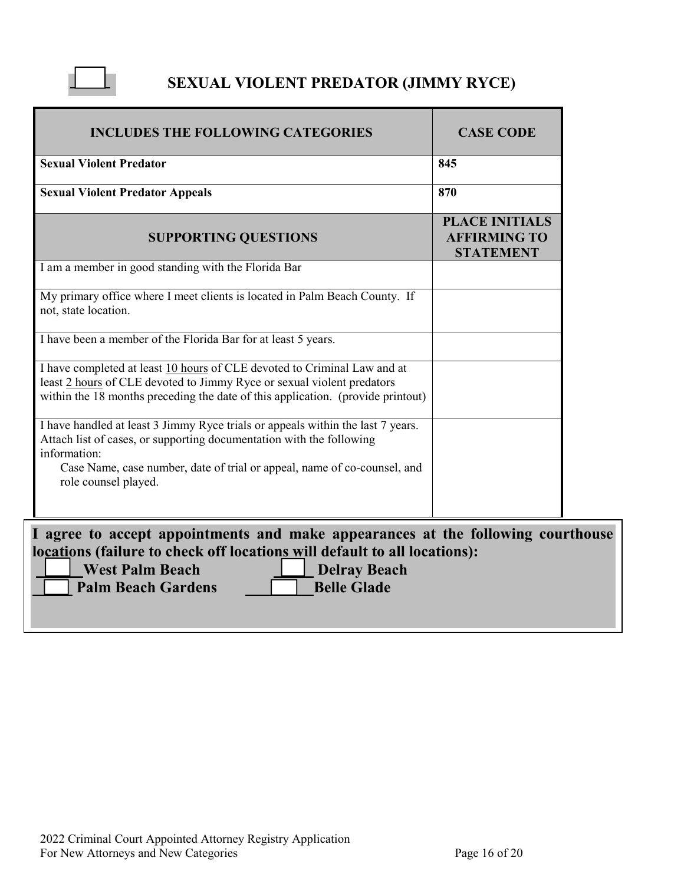

# **SEXUAL VIOLENT PREDATOR (JIMMY RYCE)**

| <b>INCLUDES THE FOLLOWING CATEGORIES</b>                                                                                                                                                                                                                                    | <b>CASE CODE</b>                                                 |  |  |
|-----------------------------------------------------------------------------------------------------------------------------------------------------------------------------------------------------------------------------------------------------------------------------|------------------------------------------------------------------|--|--|
| <b>Sexual Violent Predator</b>                                                                                                                                                                                                                                              | 845                                                              |  |  |
| <b>Sexual Violent Predator Appeals</b>                                                                                                                                                                                                                                      | 870                                                              |  |  |
| <b>SUPPORTING QUESTIONS</b>                                                                                                                                                                                                                                                 | <b>PLACE INITIALS</b><br><b>AFFIRMING TO</b><br><b>STATEMENT</b> |  |  |
| I am a member in good standing with the Florida Bar                                                                                                                                                                                                                         |                                                                  |  |  |
| My primary office where I meet clients is located in Palm Beach County. If<br>not, state location.                                                                                                                                                                          |                                                                  |  |  |
| I have been a member of the Florida Bar for at least 5 years.                                                                                                                                                                                                               |                                                                  |  |  |
| I have completed at least 10 hours of CLE devoted to Criminal Law and at<br>least 2 hours of CLE devoted to Jimmy Ryce or sexual violent predators<br>within the 18 months preceding the date of this application. (provide printout)                                       |                                                                  |  |  |
| I have handled at least 3 Jimmy Ryce trials or appeals within the last 7 years.<br>Attach list of cases, or supporting documentation with the following<br>information:<br>Case Name, case number, date of trial or appeal, name of co-counsel, and<br>role counsel played. |                                                                  |  |  |
|                                                                                                                                                                                                                                                                             |                                                                  |  |  |
| I agree to accept appointments and make appearances at the following courthouse<br>locations (failure to check off locations will default to all locations):<br><b>West Palm Beach</b><br><b>Delray Beach</b>                                                               |                                                                  |  |  |
| <b>Belle Glade</b><br><b>Palm Beach Gardens</b>                                                                                                                                                                                                                             |                                                                  |  |  |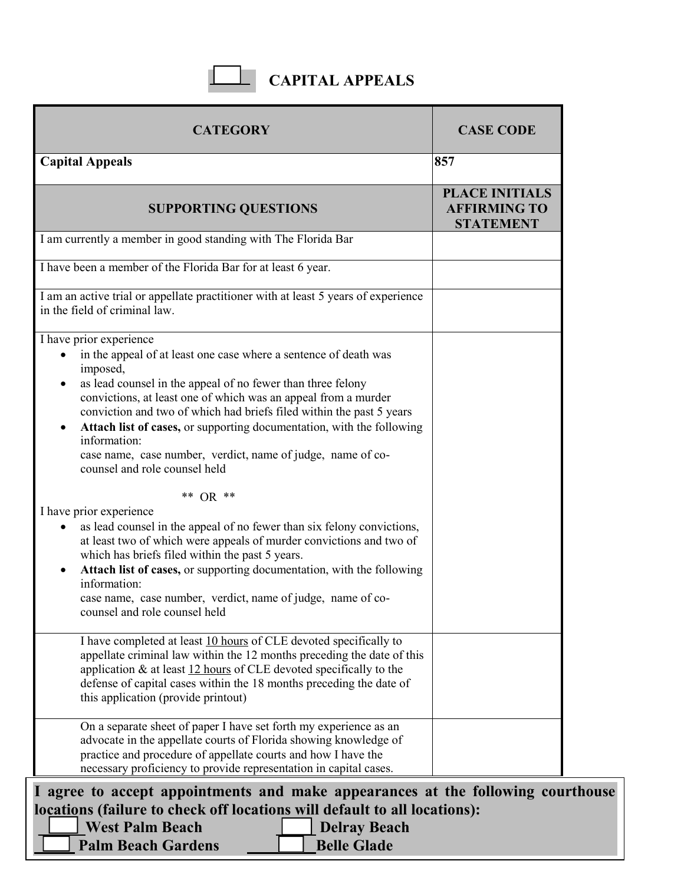# **CAPITAL APPEALS**

 $\overline{\phantom{a}}$ 

| <b>CATEGORY</b>                                                                                                                                                                                                                                                                                                                                                                                                                                                                                           | <b>CASE CODE</b>                                                 |
|-----------------------------------------------------------------------------------------------------------------------------------------------------------------------------------------------------------------------------------------------------------------------------------------------------------------------------------------------------------------------------------------------------------------------------------------------------------------------------------------------------------|------------------------------------------------------------------|
| <b>Capital Appeals</b>                                                                                                                                                                                                                                                                                                                                                                                                                                                                                    | 857                                                              |
| <b>SUPPORTING QUESTIONS</b>                                                                                                                                                                                                                                                                                                                                                                                                                                                                               | <b>PLACE INITIALS</b><br><b>AFFIRMING TO</b><br><b>STATEMENT</b> |
| I am currently a member in good standing with The Florida Bar                                                                                                                                                                                                                                                                                                                                                                                                                                             |                                                                  |
| I have been a member of the Florida Bar for at least 6 year.                                                                                                                                                                                                                                                                                                                                                                                                                                              |                                                                  |
| I am an active trial or appellate practitioner with at least 5 years of experience<br>in the field of criminal law.                                                                                                                                                                                                                                                                                                                                                                                       |                                                                  |
| I have prior experience<br>in the appeal of at least one case where a sentence of death was<br>imposed,<br>as lead counsel in the appeal of no fewer than three felony<br>convictions, at least one of which was an appeal from a murder<br>conviction and two of which had briefs filed within the past 5 years<br>Attach list of cases, or supporting documentation, with the following<br>information:<br>case name, case number, verdict, name of judge, name of co-<br>counsel and role counsel held |                                                                  |
| ** $OR$ **<br>I have prior experience<br>as lead counsel in the appeal of no fewer than six felony convictions,<br>at least two of which were appeals of murder convictions and two of<br>which has briefs filed within the past 5 years.<br>Attach list of cases, or supporting documentation, with the following<br>information:<br>case name, case number, verdict, name of judge, name of co-<br>counsel and role counsel held                                                                        |                                                                  |
| I have completed at least 10 hours of CLE devoted specifically to<br>appellate criminal law within the 12 months preceding the date of this<br>application $\&$ at least $12$ hours of CLE devoted specifically to the<br>defense of capital cases within the 18 months preceding the date of<br>this application (provide printout)                                                                                                                                                                      |                                                                  |
| On a separate sheet of paper I have set forth my experience as an<br>advocate in the appellate courts of Florida showing knowledge of<br>practice and procedure of appellate courts and how I have the<br>necessary proficiency to provide representation in capital cases.                                                                                                                                                                                                                               |                                                                  |

 $\overline{\Box}$  Delm Peach Condens  $\overline{\Box}$  Delle **For New Attorney Attorney Attorney Palm Beach Gardens Belle Glade Belle Glade un Deach Della Della Della Beach**<br>ch Gardens **Della Delle Glade**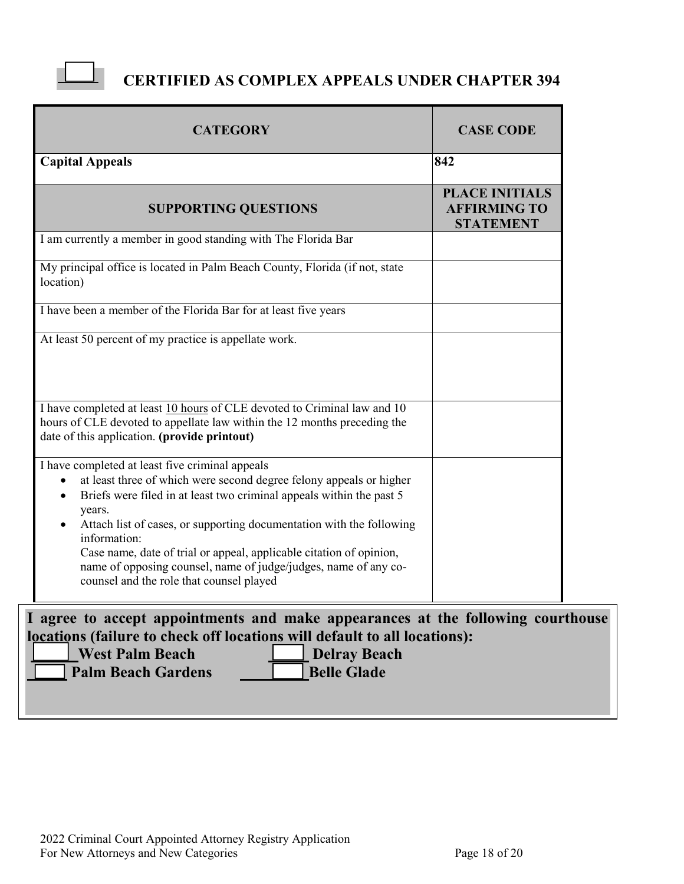

## **CERTIFIED AS COMPLEX APPEALS UNDER CHAPTER 394**

| <b>CATEGORY</b>                                                                                                                                                                                                                                                                                                                                                                                                                                                                                                               | <b>CASE CODE</b>                                                 |
|-------------------------------------------------------------------------------------------------------------------------------------------------------------------------------------------------------------------------------------------------------------------------------------------------------------------------------------------------------------------------------------------------------------------------------------------------------------------------------------------------------------------------------|------------------------------------------------------------------|
| <b>Capital Appeals</b>                                                                                                                                                                                                                                                                                                                                                                                                                                                                                                        | 842                                                              |
| <b>SUPPORTING QUESTIONS</b>                                                                                                                                                                                                                                                                                                                                                                                                                                                                                                   | <b>PLACE INITIALS</b><br><b>AFFIRMING TO</b><br><b>STATEMENT</b> |
| I am currently a member in good standing with The Florida Bar                                                                                                                                                                                                                                                                                                                                                                                                                                                                 |                                                                  |
| My principal office is located in Palm Beach County, Florida (if not, state<br>location)                                                                                                                                                                                                                                                                                                                                                                                                                                      |                                                                  |
| I have been a member of the Florida Bar for at least five years                                                                                                                                                                                                                                                                                                                                                                                                                                                               |                                                                  |
| At least 50 percent of my practice is appellate work.                                                                                                                                                                                                                                                                                                                                                                                                                                                                         |                                                                  |
| I have completed at least 10 hours of CLE devoted to Criminal law and 10<br>hours of CLE devoted to appellate law within the 12 months preceding the<br>date of this application. (provide printout)                                                                                                                                                                                                                                                                                                                          |                                                                  |
| I have completed at least five criminal appeals<br>at least three of which were second degree felony appeals or higher<br>$\bullet$<br>Briefs were filed in at least two criminal appeals within the past 5<br>$\bullet$<br>years.<br>Attach list of cases, or supporting documentation with the following<br>$\bullet$<br>information:<br>Case name, date of trial or appeal, applicable citation of opinion,<br>name of opposing counsel, name of judge/judges, name of any co-<br>counsel and the role that counsel played |                                                                  |
| I agree to accept appointments and make appearances at the following courthouse                                                                                                                                                                                                                                                                                                                                                                                                                                               |                                                                  |

**locations (failure to check off locations will default to all locations):**

| <b>West Palm Beach</b>    | Delray Beach       |
|---------------------------|--------------------|
| <b>Palm Beach Gardens</b> | <b>Belle Glade</b> |
|                           |                    |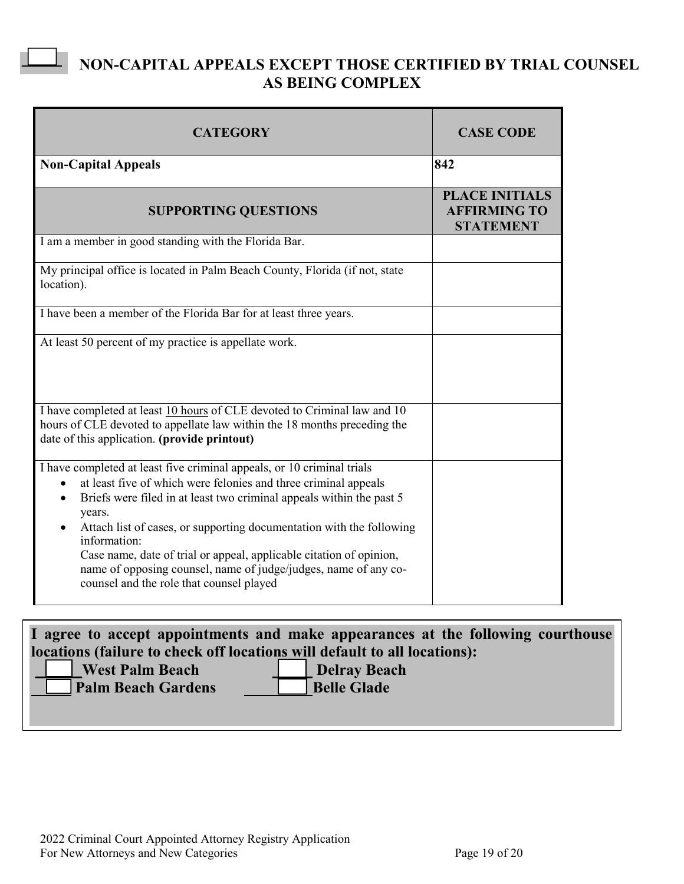## **NON-CAPITAL APPEALS EXCEPT THOSE CERTIFIED BY TRIAL COUNSEL AS BEING COMPLEX**

| <b>CATEGORY</b>                                                                                                                                                                                                                                                                                                                                                                                                                                                                                                                     | <b>CASE CODE</b>                                                 |
|-------------------------------------------------------------------------------------------------------------------------------------------------------------------------------------------------------------------------------------------------------------------------------------------------------------------------------------------------------------------------------------------------------------------------------------------------------------------------------------------------------------------------------------|------------------------------------------------------------------|
| <b>Non-Capital Appeals</b>                                                                                                                                                                                                                                                                                                                                                                                                                                                                                                          | 842                                                              |
| <b>SUPPORTING QUESTIONS</b>                                                                                                                                                                                                                                                                                                                                                                                                                                                                                                         | <b>PLACE INITIALS</b><br><b>AFFIRMING TO</b><br><b>STATEMENT</b> |
| I am a member in good standing with the Florida Bar.                                                                                                                                                                                                                                                                                                                                                                                                                                                                                |                                                                  |
| My principal office is located in Palm Beach County, Florida (if not, state<br>location).                                                                                                                                                                                                                                                                                                                                                                                                                                           |                                                                  |
| I have been a member of the Florida Bar for at least three years.                                                                                                                                                                                                                                                                                                                                                                                                                                                                   |                                                                  |
| At least 50 percent of my practice is appellate work.                                                                                                                                                                                                                                                                                                                                                                                                                                                                               |                                                                  |
| I have completed at least 10 hours of CLE devoted to Criminal law and 10<br>hours of CLE devoted to appellate law within the 18 months preceding the<br>date of this application. (provide printout)                                                                                                                                                                                                                                                                                                                                |                                                                  |
| I have completed at least five criminal appeals, or 10 criminal trials<br>at least five of which were felonies and three criminal appeals<br>$\bullet$<br>Briefs were filed in at least two criminal appeals within the past 5<br>$\bullet$<br>years.<br>Attach list of cases, or supporting documentation with the following<br>information:<br>Case name, date of trial or appeal, applicable citation of opinion,<br>name of opposing counsel, name of judge/judges, name of any co-<br>counsel and the role that counsel played |                                                                  |

**I agree to accept appointments and make appearances at the following courthouse locations (failure to check off locations will default to all locations):**

**Palm Beach Gardens Belle Glade** 

 $\overline{\phantom{0}}$ 

**| West Palm Beach Delray Beach**